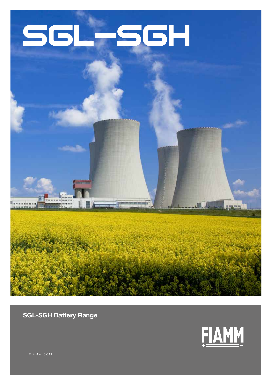# SGL-SGH



SGL-SGH Battery Range

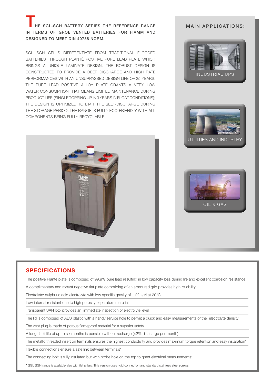HE SGL-SGH BATTERY SERIES THE REFERENCE RANGE IN TERMS OF GROE VENTED BATTERIES FOR FIAMM AND DESIGNED TO MEET DIN 40738 NORM.

SGL SGH CELLS DIFFERENTIATE FROM TRADITIONAL FLOODED BATTERIES THROUGH PLANTÉ POSITIVE PURE LEAD PLATE WHICH BRINGS A UNIQUE LAMINATE DESIGN. THE ROBUST DESIGN IS CONSTRUCTED TO PROVIDE A DEEP DISCHARGE AND HIGH RATE PERFORMANCES WITH AN UNSURPASSED DESIGN LIFE OF 25 YEARS. THE PURE LEAD POSITIVE ALLOY PLATE GRANTS A VERY LOW WATER CONSUMPTION THAT MEANS LIMITED MAINTENANCE DURING PRODUCT LIFE (SINGLE TOPPING UP IN 3 YEARS IN FLOAT CONDITIONS); THE DESIGN IS OPTIMIZED TO LIMIT THE SELF-DISCHARGE DURING THE STORAGE PERIOD. THE RANGE IS FULLY ECO-FRIENDLY WITH ALL COMPONENTS BEING FULLY RECYCLABLE.











The positive Planté plate is composed of 99.9% pure lead resulting in low capacity loss during life and excellent corrosion resistance

A complimentary and robust negative flat plate compriding of an armoured grid provides high reliability

Electrolyte: sulphuric acid electrolyte with low specific gravity of 1.22 kg/l at 20°C

Low internal resistant due to high porosity separators material

Transparent SAN box provides an immediate inspection of electrolyte level

The lid is composed of ABS plastic with a handy service hole to permit a quick and easy measurements of the electrolyte density

The vent plug is made of porous flameproof material for a superior safety

A long shelf life of up to six months is possible without recharge (<2% discharge per month)

The metallic threaded insert on terminals ensures the highest conductivity and provides maximum torque retention and easy installation\*

Flexible connections ensure a safe link between terminals\*

The connecting bolt is fully insulated but with probe hole on the top to grant electrical measurements\*

\* SGL SGH range is available also with flat pillars. This version uses rigid connection and standard stainless steel screws.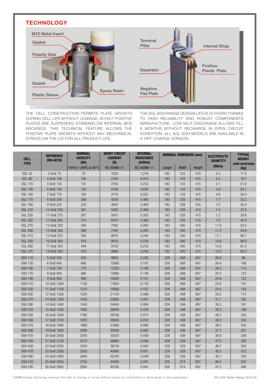#### **TECHNOLOGY**



THE CELL CONSTRUCTION PERMITS PLATE GROWTH DURING CELL LIFE WITHOUT LEAKAGE; IN FACT POSITIVE PLATES ARE SUSPENDED STANDING ON INTERNAL BOX BACKINGS. THIS TECHNICAL FEATURE ALLOWS THE POSITIVE PLATE GROWTH WITHOUT ANY MECHANICAL STRESS ON THE LID FOR ALL PRODUCT LIFE.

THE SGL SGH RANGE DESIGN LIFE IS 25 YEARS THANKS TO HIGH RELIABILITY AND ROBUST COMPONENTS MANUFACTURE. LOW SELF-DISCHARGE ALLOWS TILL 6 MONTHS WITHOUT RECHARGE IN OPEN CIRCUIT CONDITION. ALL SGL SGH MODELS ARE AVAILABLE IN A DRY CHARGE VERSION.

| <b>CELL</b><br><b>TYPE</b> | <b>REFERENCE</b><br><b>DIN 40738</b> | <b>NOMINAL</b><br><b>CAPACITY</b><br>(Ah) | <b>SHORT CIRCUIT</b><br><b>CURRENT</b><br>(A) | <b>INTERNAL</b><br><b>RESISTANCE</b><br>(mOhm) | <b>NOMINAL DIMENSION (mm)</b> |       |        | <b>ELECTROLYTE</b><br><b>QUANTITY</b> | <b>TYPICAL</b><br><b>WEIGHT</b><br>(with electrolyte) |
|----------------------------|--------------------------------------|-------------------------------------------|-----------------------------------------------|------------------------------------------------|-------------------------------|-------|--------|---------------------------------------|-------------------------------------------------------|
|                            |                                      | 10H to 1.8VPC at 20°C                     | IEC 60896-11                                  | IEC 60896-11                                   | Lenght                        | Width | Height | (liters)                              | (kg)                                                  |
| SGL 7D                     | 3 GroE 75                            | 79                                        | 1630                                          | 1,216                                          | 182                           | 153   | 415    | 5.4                                   | 17.5                                                  |
| SGL 9D                     | 4 GroE 100                           | 105                                       | 2160                                          | 0,915                                          | 182                           | 153   | 415    | 5.2                                   | 19.7                                                  |
| SGL <sub>11D</sub>         | 5 GroE 125                           | 131                                       | 2700                                          | 0,733                                          | 182                           | 153   | 415    | 5.1                                   | 21.9                                                  |
| SGL 13D                    | 6 GroE 150                           | 155                                       | 3190                                          | 0,620                                          | 182                           | 153   | 415    | 4.9                                   | 24.1                                                  |
| <b>SGL 15D</b>             | 7 GroE 175                           | 183                                       | 3770                                          | 0,525                                          | 182                           | 153   | 415    | 4.8                                   | 26.3                                                  |
| SGL 17D                    | 8 GroE 200                           | 209                                       | 4300                                          | 0,460                                          | 182                           | 228   | 415    | 7.7                                   | 33.2                                                  |
| SGL 19D                    | 9 GroE 225                           | 235                                       | 4840                                          | 0,409                                          | 182                           | 228   | 415    | 7.5                                   | 35.4                                                  |
| SGL 21D                    | 10 GroE 250                          | 261                                       | 5380                                          | 0,368                                          | 182                           | 228   | 415    | 7.4                                   | 37.6                                                  |
| SGL 23D                    | 11 GroE 275                          | 287                                       | 5910                                          | 0,335                                          | 182                           | 228   | 415    | 7.2                                   | 39.8                                                  |
| <b>SGL 25D</b>             | 12 GroE 300                          | 314                                       | 6470                                          | 0,306                                          | 182                           | 228   | 415    | 7.0                                   | 42.0                                                  |
| SGL 27D                    | 13 GroE 325                          | 340                                       | 7000                                          | 0,283                                          | 182                           | 340   | 415    | 11.6                                  | 52.5                                                  |
| <b>SGL 29D</b>             | 14 GroE 350                          | 366                                       | 7540                                          | 0,263                                          | 182                           | 340   | 415    | 11.3                                  | 54.6                                                  |
| SGL 31D                    | 15 GroE 375                          | 392                                       | 8070                                          | 0,245                                          | 182                           | 340   | 415    | 11.1                                  | 56.7                                                  |
| SGL 33D                    | 16 GroE 400                          | 418                                       | 8610                                          | 0,230                                          | 182                           | 340   | 415    | 10.9                                  | 58.9                                                  |
| <b>SGL 35D</b>             | 17 GroE 425                          | 444                                       | 9150                                          | 0,216                                          | 182                           | 340   | 415    | 10.6                                  | 61.0                                                  |
| SGL 37D                    | 18 GroE 450                          | 470                                       | 9680                                          | 0,204                                          | 182                           | 340   | 415    | 10.3                                  | 63.0                                                  |
| SGH <sub>11D</sub>         | 5 GroE 500                           | 550                                       | 8800                                          | 0.236                                          | 328                           | 268   | 607    | 26.6                                  | 96                                                    |
| SGH <sub>13D</sub>         | 6 GroE 600                           | 660                                       | 10560                                         | 0.197                                          | 328                           | 268   | 607    | 26.4                                  | 106                                                   |
| SGH <sub>15D</sub>         | 7 GroE 700                           | 770                                       | 12320                                         | 0.169                                          | 328                           | 268   | 607    | 26.2                                  | 114                                                   |
| SGH 17D                    | 8 GroE 800                           | 880                                       | 14080                                         | 0.148                                          | 328                           | 268   | 607    | 25.4                                  | 123                                                   |
| SGH 19D                    | 9 GroE 900                           | 990                                       | 15840                                         | 0.131                                          | 328                           | 268   | 607    | 24.6                                  | 132                                                   |
| SGH <sub>21D</sub>         | 10 GroE 1000                         | 1100                                      | 17600                                         | 0.118                                          | 328                           | 268   | 607    | 23.8                                  | 141                                                   |
| SGH <sub>23D</sub>         | 11 GroE 1100                         | 1210                                      | 19360                                         | 0.107                                          | 328                           | 268   | 607    | 23.0                                  | 150                                                   |
| SGH 25D                    | 12 GroE 1200                         | 1320                                      | 21120                                         | 0.098                                          | 328                           | 348   | 607    | 32.0                                  | 174                                                   |
| SGH <sub>27D</sub>         | 13 GroE 1300                         | 1430                                      | 22880                                         | 0.091                                          | 328                           | 348   | 607    | 31.1                                  | 182                                                   |
| SGH 29D                    | 14 GroE 1400                         | 1540                                      | 24640                                         | 0.084                                          | 328                           | 348   | 607    | 30.3                                  | 191                                                   |
| SGH 31D                    | 15 GroE 1500                         | 1650                                      | 26400                                         | 0.079                                          | 328                           | 348   | 607    | 29.5                                  | 199                                                   |
| SGH 33D                    | 16 GroE 1600                         | 1760                                      | 28160                                         | 0.074                                          | 328                           | 438   | 607    | 40.2                                  | 225                                                   |
| SGH 35D                    | 17 GroE 1700                         | 1870                                      | 29920                                         | 0.070                                          | 328                           | 438   | 607    | 39.3                                  | 234                                                   |
| SGH 37D                    | 18 GroE 1800                         | 1980                                      | 31680                                         | 0.066                                          | 328                           | 438   | 607    | 38.5                                  | 242                                                   |
| SGH 39D                    | 19 GroE 1900                         | 2090                                      | 33440                                         | 0.062                                          | 328                           | 438   | 607    | 37.7                                  | 251                                                   |
| SGH 41D                    | 20 GroE 2000                         | 2200                                      | 35200                                         | 0.059                                          | 328                           | 438   | 607    | 36.9                                  | 259                                                   |
| SGH 43D                    | 21 GroE 2100                         | 2310                                      | 36960                                         | 0.056                                          | 328                           | 529   | 607    | 47.5                                  | 295                                                   |
| SGH 45D                    | 22 GroE 2200                         | 2420                                      | 38720                                         | 0.054                                          | 328                           | 529   | 607    | 46.7                                  | 303                                                   |
| SGH 47D                    | 23 GroE 2300                         | 2530                                      | 40480                                         | 0.051                                          | 328                           | 529   | 607    | 45.5                                  | 312                                                   |
| SGH 49D                    | 24 GroE 2400                         | 2640                                      | 42240                                         | 0.049                                          | 328                           | 529   | 607    | 45.1                                  | 320                                                   |
| SGH 51D                    | 25 GroE 2500                         | 2750                                      | 44000                                         | 0.047                                          | 328                           | 574   | 607    | 48.4                                  | 337                                                   |
| SGH 53D                    | 26 GroE 2600                         | 2860                                      | 45760                                         | 0.045                                          | 328                           | 574   | 607    | 47.5                                  | 346                                                   |